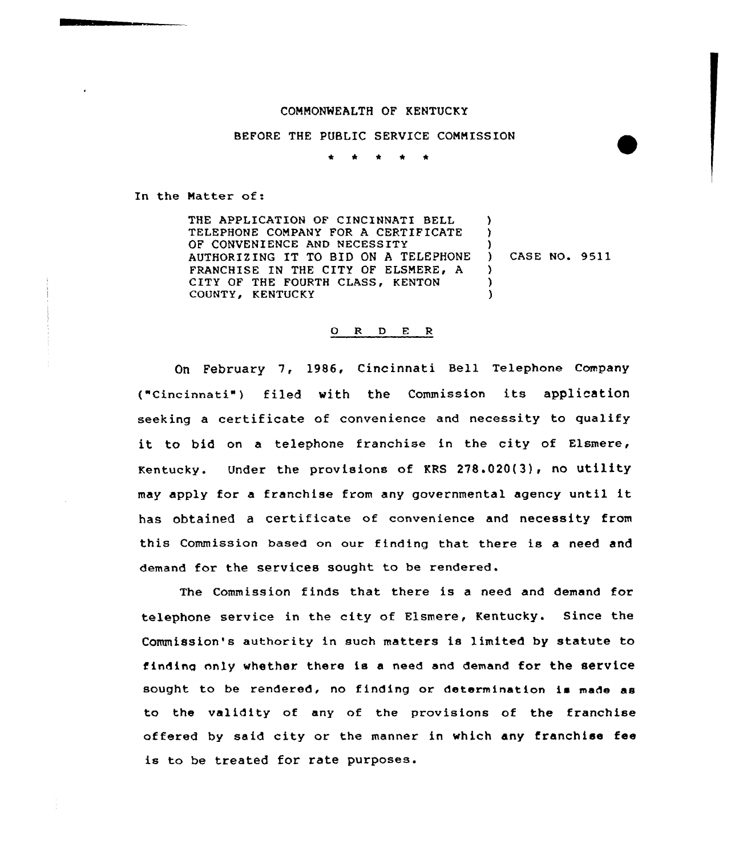## COMMONWEALTH OF KENTUCKY

## BEFORE THE PUBLIC SERVICE CONNISSION

\* \* \* \* \*

In the Natter of:

THE APPLICATION OF CINCINNATI BELL TELEPHONE COMPANY FOR A CERTIFICATE OF CONVENIENCE AND NECESSITY AUTHORIZING IT TQ BID ON <sup>A</sup> TELEPHONE FRANCHISE IN THE CITY OF ELSMERE, A CITY OF THE FOURTH CLASS, KENTON COUNTY, KENTUCKY ) ) ) ) CASE NO. 9511 ) ) )

## 0 <sup>R</sup> 0 F. <sup>R</sup>

On February 7, 1986, Cincinnati Bell Telephone Company ("cincinnati" ) filed with the Commission its application seeking a certificate of convenience and necessity to qualify it to bid on <sup>a</sup> telephone franchise in the city of Elsmere, Kentucky. Under the provisions of KRS 278.020(3}, nO utility may apply for <sup>a</sup> franchise from any governmental agency until it has obtained <sup>a</sup> certificate of convenience and necessity from this Commission based on aux finding that there is a need and demand for the services sought to be rendered.

The Commission finds that there is a need and demand for telephone service in the city of Elsmere, Kentucky. Since the Commission's authority in such matters is limited by statute to finding only whether there is a need and demand for the service sought to be rendered, no finding or determination is made as to the validity of any of the provisions of the franchise offered by said city or the manner in which any franchise fee is to be treated for rate purposes.